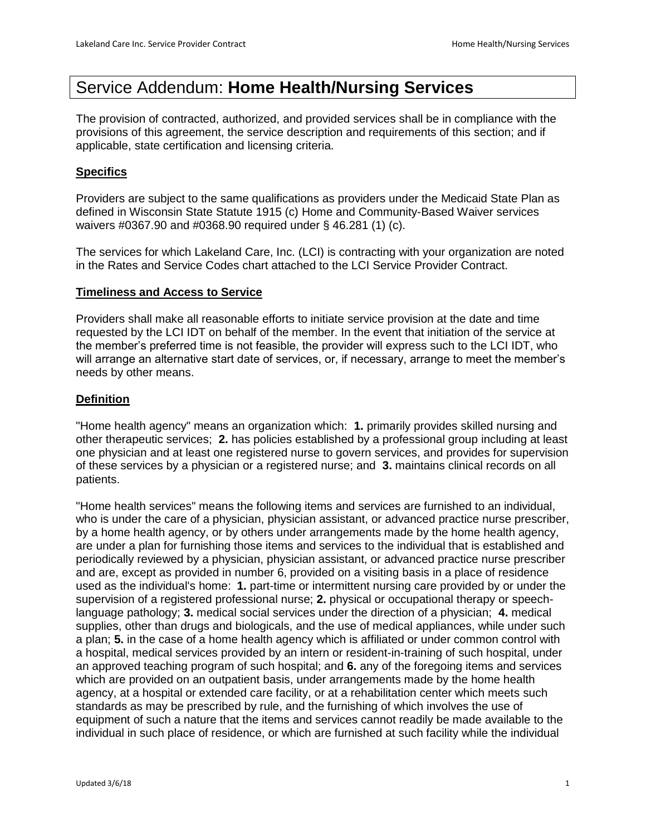# Service Addendum: **Home Health/Nursing Services**

The provision of contracted, authorized, and provided services shall be in compliance with the provisions of this agreement, the service description and requirements of this section; and if applicable, state certification and licensing criteria.

# **Specifics**

Providers are subject to the same qualifications as providers under the Medicaid State Plan as defined in Wisconsin State Statute 1915 (c) Home and Community-Based Waiver services waivers #0367.90 and #0368.90 required under § 46.281 (1) (c).

The services for which Lakeland Care, Inc. (LCI) is contracting with your organization are noted in the Rates and Service Codes chart attached to the LCI Service Provider Contract.

## **Timeliness and Access to Service**

Providers shall make all reasonable efforts to initiate service provision at the date and time requested by the LCI IDT on behalf of the member. In the event that initiation of the service at the member's preferred time is not feasible, the provider will express such to the LCI IDT, who will arrange an alternative start date of services, or, if necessary, arrange to meet the member's needs by other means.

## **Definition**

"Home health agency" means an organization which: **1.** primarily provides skilled nursing and other therapeutic services; **2.** has policies established by a professional group including at least one physician and at least one registered nurse to govern services, and provides for supervision of these services by a physician or a registered nurse; and **3.** maintains clinical records on all patients.

"Home health services" means the following items and services are furnished to an individual, who is under the care of a physician, physician assistant, or advanced practice nurse prescriber, by a home health agency, or by others under arrangements made by the home health agency, are under a plan for furnishing those items and services to the individual that is established and periodically reviewed by a physician, physician assistant, or advanced practice nurse prescriber and are, except as provided in number 6, provided on a visiting basis in a place of residence used as the individual's home: **1.** part-time or intermittent nursing care provided by or under the supervision of a registered professional nurse; **2.** physical or occupational therapy or speechlanguage pathology; **3.** medical social services under the direction of a physician; **4.** medical supplies, other than drugs and biologicals, and the use of medical appliances, while under such a plan; **5.** in the case of a home health agency which is affiliated or under common control with a hospital, medical services provided by an intern or resident-in-training of such hospital, under an approved teaching program of such hospital; and **6.** any of the foregoing items and services which are provided on an outpatient basis, under arrangements made by the home health agency, at a hospital or extended care facility, or at a rehabilitation center which meets such standards as may be prescribed by rule, and the furnishing of which involves the use of equipment of such a nature that the items and services cannot readily be made available to the individual in such place of residence, or which are furnished at such facility while the individual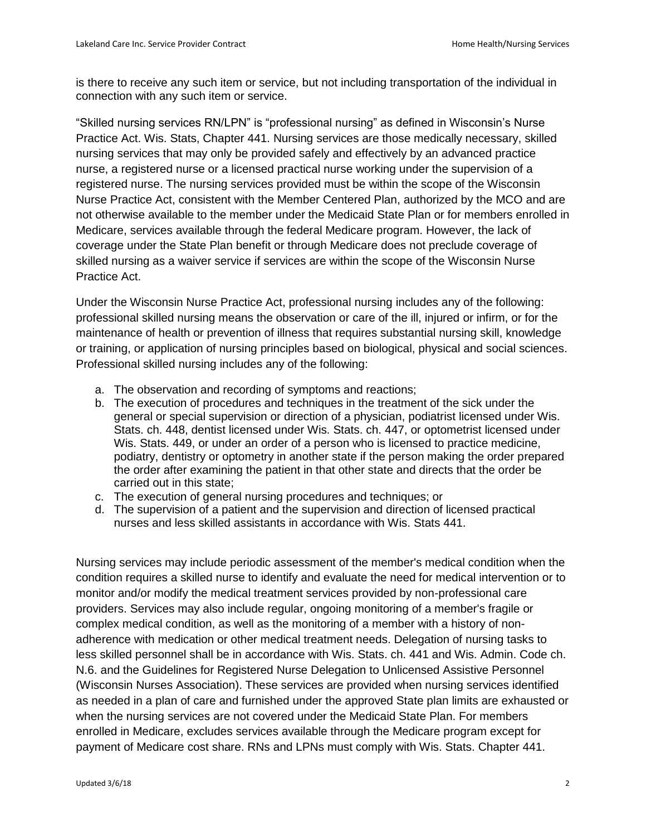is there to receive any such item or service, but not including transportation of the individual in connection with any such item or service.

"Skilled nursing services RN/LPN" is "professional nursing" as defined in Wisconsin's Nurse Practice Act. Wis. Stats, Chapter 441. Nursing services are those medically necessary, skilled nursing services that may only be provided safely and effectively by an advanced practice nurse, a registered nurse or a licensed practical nurse working under the supervision of a registered nurse. The nursing services provided must be within the scope of the Wisconsin Nurse Practice Act, consistent with the Member Centered Plan, authorized by the MCO and are not otherwise available to the member under the Medicaid State Plan or for members enrolled in Medicare, services available through the federal Medicare program. However, the lack of coverage under the State Plan benefit or through Medicare does not preclude coverage of skilled nursing as a waiver service if services are within the scope of the Wisconsin Nurse Practice Act.

Under the Wisconsin Nurse Practice Act, professional nursing includes any of the following: professional skilled nursing means the observation or care of the ill, injured or infirm, or for the maintenance of health or prevention of illness that requires substantial nursing skill, knowledge or training, or application of nursing principles based on biological, physical and social sciences. Professional skilled nursing includes any of the following:

- a. The observation and recording of symptoms and reactions;
- b. The execution of procedures and techniques in the treatment of the sick under the general or special supervision or direction of a physician, podiatrist licensed under Wis. Stats. ch. 448, dentist licensed under Wis. Stats. ch. 447, or optometrist licensed under Wis. Stats. 449, or under an order of a person who is licensed to practice medicine, podiatry, dentistry or optometry in another state if the person making the order prepared the order after examining the patient in that other state and directs that the order be carried out in this state;
- c. The execution of general nursing procedures and techniques; or
- d. The supervision of a patient and the supervision and direction of licensed practical nurses and less skilled assistants in accordance with Wis. Stats 441.

Nursing services may include periodic assessment of the member's medical condition when the condition requires a skilled nurse to identify and evaluate the need for medical intervention or to monitor and/or modify the medical treatment services provided by non-professional care providers. Services may also include regular, ongoing monitoring of a member's fragile or complex medical condition, as well as the monitoring of a member with a history of nonadherence with medication or other medical treatment needs. Delegation of nursing tasks to less skilled personnel shall be in accordance with Wis. Stats. ch. 441 and Wis. Admin. Code ch. N.6. and the Guidelines for Registered Nurse Delegation to Unlicensed Assistive Personnel (Wisconsin Nurses Association). These services are provided when nursing services identified as needed in a plan of care and furnished under the approved State plan limits are exhausted or when the nursing services are not covered under the Medicaid State Plan. For members enrolled in Medicare, excludes services available through the Medicare program except for payment of Medicare cost share. RNs and LPNs must comply with Wis. Stats. Chapter 441.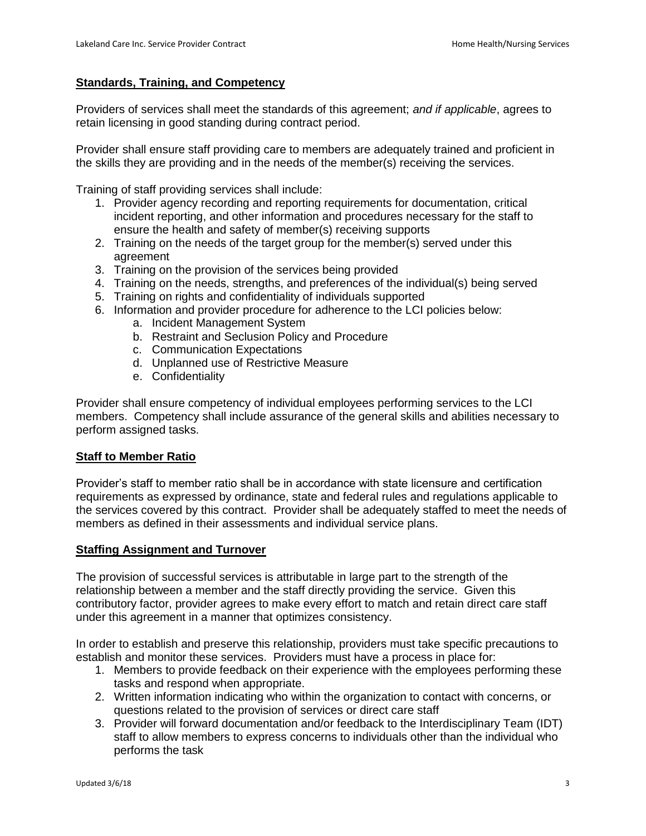## **Standards, Training, and Competency**

Providers of services shall meet the standards of this agreement; *and if applicable*, agrees to retain licensing in good standing during contract period.

Provider shall ensure staff providing care to members are adequately trained and proficient in the skills they are providing and in the needs of the member(s) receiving the services.

Training of staff providing services shall include:

- 1. Provider agency recording and reporting requirements for documentation, critical incident reporting, and other information and procedures necessary for the staff to ensure the health and safety of member(s) receiving supports
- 2. Training on the needs of the target group for the member(s) served under this agreement
- 3. Training on the provision of the services being provided
- 4. Training on the needs, strengths, and preferences of the individual(s) being served
- 5. Training on rights and confidentiality of individuals supported
- 6. Information and provider procedure for adherence to the LCI policies below:
	- a. Incident Management System
	- b. Restraint and Seclusion Policy and Procedure
	- c. Communication Expectations
	- d. Unplanned use of Restrictive Measure
	- e. Confidentiality

Provider shall ensure competency of individual employees performing services to the LCI members. Competency shall include assurance of the general skills and abilities necessary to perform assigned tasks.

#### **Staff to Member Ratio**

Provider's staff to member ratio shall be in accordance with state licensure and certification requirements as expressed by ordinance, state and federal rules and regulations applicable to the services covered by this contract. Provider shall be adequately staffed to meet the needs of members as defined in their assessments and individual service plans.

#### **Staffing Assignment and Turnover**

The provision of successful services is attributable in large part to the strength of the relationship between a member and the staff directly providing the service. Given this contributory factor, provider agrees to make every effort to match and retain direct care staff under this agreement in a manner that optimizes consistency.

In order to establish and preserve this relationship, providers must take specific precautions to establish and monitor these services. Providers must have a process in place for:

- 1. Members to provide feedback on their experience with the employees performing these tasks and respond when appropriate.
- 2. Written information indicating who within the organization to contact with concerns, or questions related to the provision of services or direct care staff
- 3. Provider will forward documentation and/or feedback to the Interdisciplinary Team (IDT) staff to allow members to express concerns to individuals other than the individual who performs the task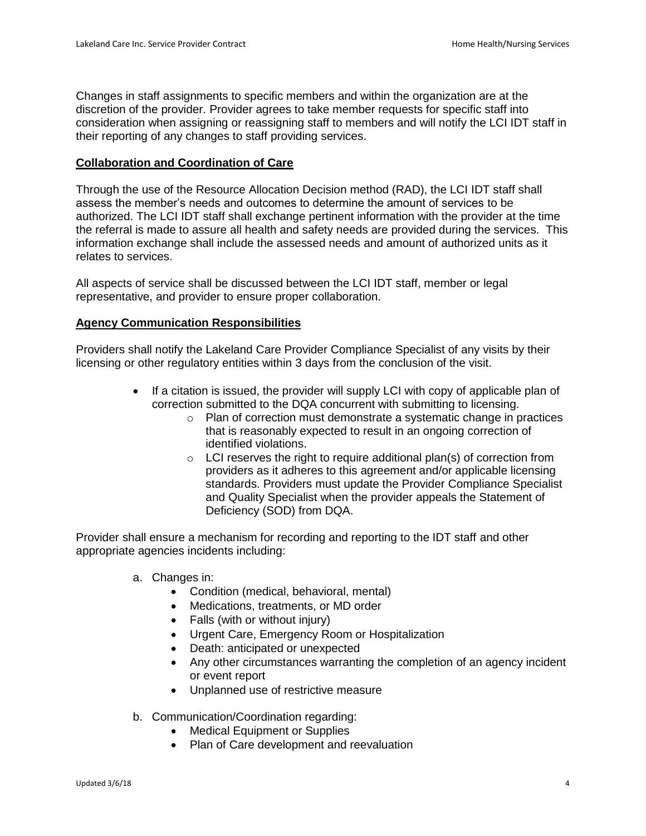Changes in staff assignments to specific members and within the organization are at the discretion of the provider. Provider agrees to take member requests for specific staff into consideration when assigning or reassigning staff to members and will notify the LCI IDT staff in their reporting of any changes to staff providing services.

## **Collaboration and Coordination of Care**

Through the use of the Resource Allocation Decision method (RAD), the LCI IDT staff shall assess the member's needs and outcomes to determine the amount of services to be authorized. The LCI IDT staff shall exchange pertinent information with the provider at the time the referral is made to assure all health and safety needs are provided during the services. This information exchange shall include the assessed needs and amount of authorized units as it relates to services.

All aspects of service shall be discussed between the LCI IDT staff, member or legal representative, and provider to ensure proper collaboration.

#### **Agency Communication Responsibilities**

Providers shall notify the Lakeland Care Provider Compliance Specialist of any visits by their licensing or other regulatory entities within 3 days from the conclusion of the visit.

- If a citation is issued, the provider will supply LCI with copy of applicable plan of correction submitted to the DQA concurrent with submitting to licensing.
	- o Plan of correction must demonstrate a systematic change in practices that is reasonably expected to result in an ongoing correction of identified violations.
	- $\circ$  LCI reserves the right to require additional plan(s) of correction from providers as it adheres to this agreement and/or applicable licensing standards. Providers must update the Provider Compliance Specialist and Quality Specialist when the provider appeals the Statement of Deficiency (SOD) from DQA.

Provider shall ensure a mechanism for recording and reporting to the IDT staff and other appropriate agencies incidents including:

- a. Changes in:
	- Condition (medical, behavioral, mental)
	- Medications, treatments, or MD order
	- Falls (with or without injury)
	- Urgent Care, Emergency Room or Hospitalization
	- Death: anticipated or unexpected
	- Any other circumstances warranting the completion of an agency incident or event report
	- Unplanned use of restrictive measure
- b. Communication/Coordination regarding:
	- Medical Equipment or Supplies
	- Plan of Care development and reevaluation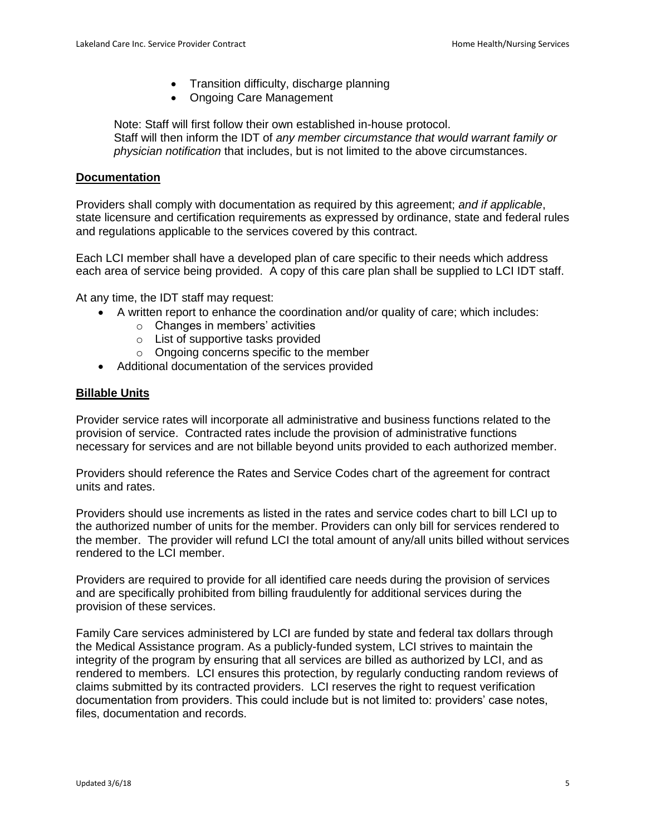- Transition difficulty, discharge planning
- Ongoing Care Management

Note: Staff will first follow their own established in-house protocol. Staff will then inform the IDT of *any member circumstance that would warrant family or physician notification* that includes, but is not limited to the above circumstances.

#### **Documentation**

Providers shall comply with documentation as required by this agreement; *and if applicable*, state licensure and certification requirements as expressed by ordinance, state and federal rules and regulations applicable to the services covered by this contract.

Each LCI member shall have a developed plan of care specific to their needs which address each area of service being provided. A copy of this care plan shall be supplied to LCI IDT staff.

At any time, the IDT staff may request:

- A written report to enhance the coordination and/or quality of care; which includes:
	- o Changes in members' activities
	- o List of supportive tasks provided
	- o Ongoing concerns specific to the member
- Additional documentation of the services provided

## **Billable Units**

Provider service rates will incorporate all administrative and business functions related to the provision of service. Contracted rates include the provision of administrative functions necessary for services and are not billable beyond units provided to each authorized member.

Providers should reference the Rates and Service Codes chart of the agreement for contract units and rates.

Providers should use increments as listed in the rates and service codes chart to bill LCI up to the authorized number of units for the member. Providers can only bill for services rendered to the member. The provider will refund LCI the total amount of any/all units billed without services rendered to the LCI member.

Providers are required to provide for all identified care needs during the provision of services and are specifically prohibited from billing fraudulently for additional services during the provision of these services.

Family Care services administered by LCI are funded by state and federal tax dollars through the Medical Assistance program. As a publicly-funded system, LCI strives to maintain the integrity of the program by ensuring that all services are billed as authorized by LCI, and as rendered to members. LCI ensures this protection, by regularly conducting random reviews of claims submitted by its contracted providers. LCI reserves the right to request verification documentation from providers. This could include but is not limited to: providers' case notes, files, documentation and records.